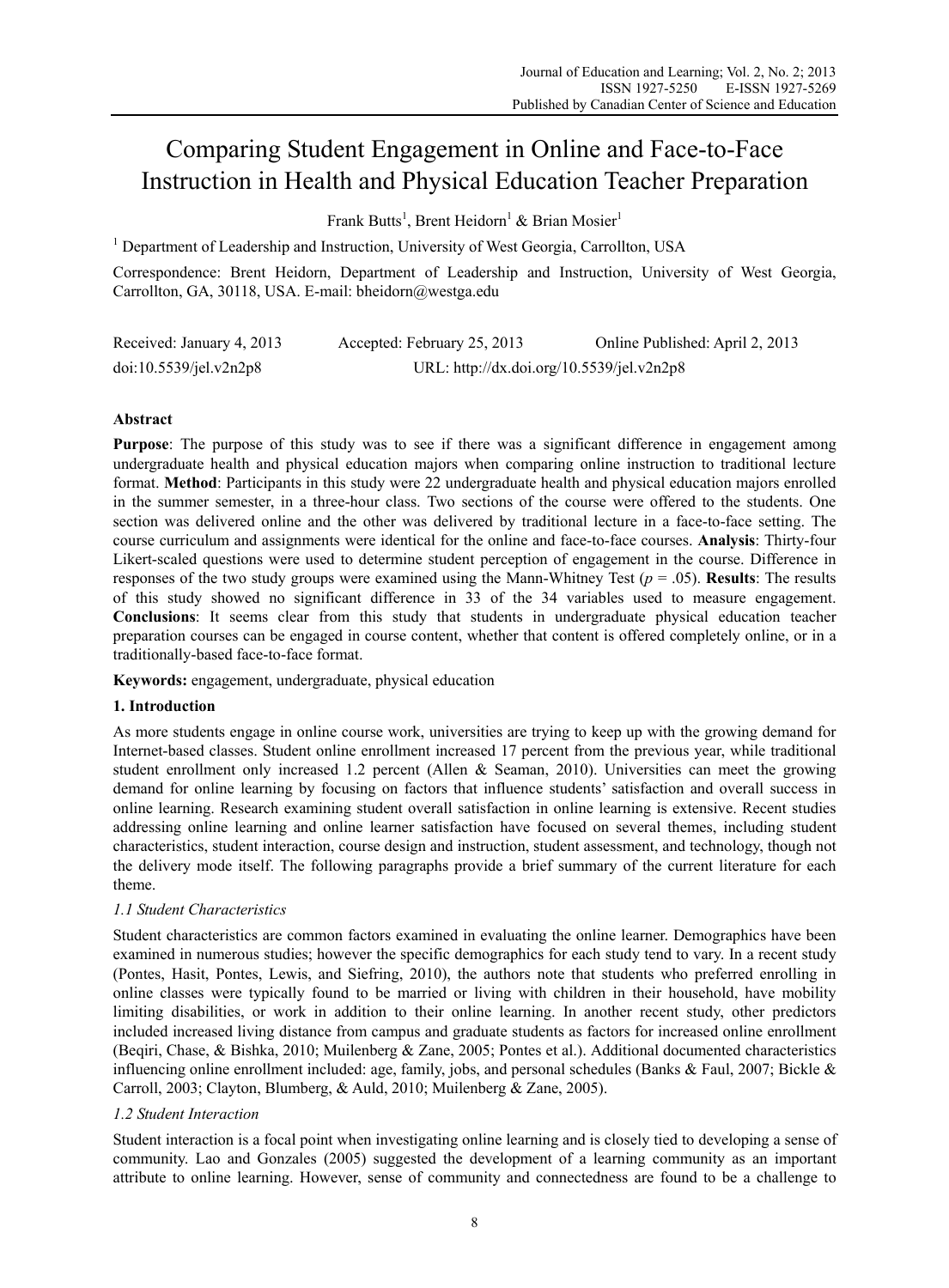# Comparing Student Engagement in Online and Face-to-Face Instruction in Health and Physical Education Teacher Preparation

Frank Butts<sup>1</sup>, Brent Heidorn<sup>1</sup> & Brian Mosier<sup>1</sup>

<sup>1</sup> Department of Leadership and Instruction, University of West Georgia, Carrollton, USA

Correspondence: Brent Heidorn, Department of Leadership and Instruction, University of West Georgia, Carrollton, GA, 30118, USA. E-mail: bheidorn@westga.edu

| Received: January 4, 2013 | Accepted: February 25, 2013               | Online Published: April 2, 2013 |  |
|---------------------------|-------------------------------------------|---------------------------------|--|
| doi:10.5539/je1.v2n2p8    | URL: http://dx.doi.org/10.5539/jel.v2n2p8 |                                 |  |

# **Abstract**

**Purpose**: The purpose of this study was to see if there was a significant difference in engagement among undergraduate health and physical education majors when comparing online instruction to traditional lecture format. **Method**: Participants in this study were 22 undergraduate health and physical education majors enrolled in the summer semester, in a three-hour class. Two sections of the course were offered to the students. One section was delivered online and the other was delivered by traditional lecture in a face-to-face setting. The course curriculum and assignments were identical for the online and face-to-face courses. **Analysis**: Thirty-four Likert-scaled questions were used to determine student perception of engagement in the course. Difference in responses of the two study groups were examined using the Mann-Whitney Test ( $p = .05$ ). **Results**: The results of this study showed no significant difference in 33 of the 34 variables used to measure engagement. **Conclusions**: It seems clear from this study that students in undergraduate physical education teacher preparation courses can be engaged in course content, whether that content is offered completely online, or in a traditionally-based face-to-face format.

**Keywords:** engagement, undergraduate, physical education

# **1. Introduction**

As more students engage in online course work, universities are trying to keep up with the growing demand for Internet-based classes. Student online enrollment increased 17 percent from the previous year, while traditional student enrollment only increased 1.2 percent (Allen & Seaman, 2010). Universities can meet the growing demand for online learning by focusing on factors that influence students' satisfaction and overall success in online learning. Research examining student overall satisfaction in online learning is extensive. Recent studies addressing online learning and online learner satisfaction have focused on several themes, including student characteristics, student interaction, course design and instruction, student assessment, and technology, though not the delivery mode itself. The following paragraphs provide a brief summary of the current literature for each theme.

# *1.1 Student Characteristics*

Student characteristics are common factors examined in evaluating the online learner. Demographics have been examined in numerous studies; however the specific demographics for each study tend to vary. In a recent study (Pontes, Hasit, Pontes, Lewis, and Siefring, 2010), the authors note that students who preferred enrolling in online classes were typically found to be married or living with children in their household, have mobility limiting disabilities, or work in addition to their online learning. In another recent study, other predictors included increased living distance from campus and graduate students as factors for increased online enrollment (Beqiri, Chase, & Bishka, 2010; Muilenberg & Zane, 2005; Pontes et al.). Additional documented characteristics influencing online enrollment included: age, family, jobs, and personal schedules (Banks & Faul, 2007; Bickle & Carroll, 2003; Clayton, Blumberg, & Auld, 2010; Muilenberg & Zane, 2005).

# *1.2 Student Interaction*

Student interaction is a focal point when investigating online learning and is closely tied to developing a sense of community. Lao and Gonzales (2005) suggested the development of a learning community as an important attribute to online learning. However, sense of community and connectedness are found to be a challenge to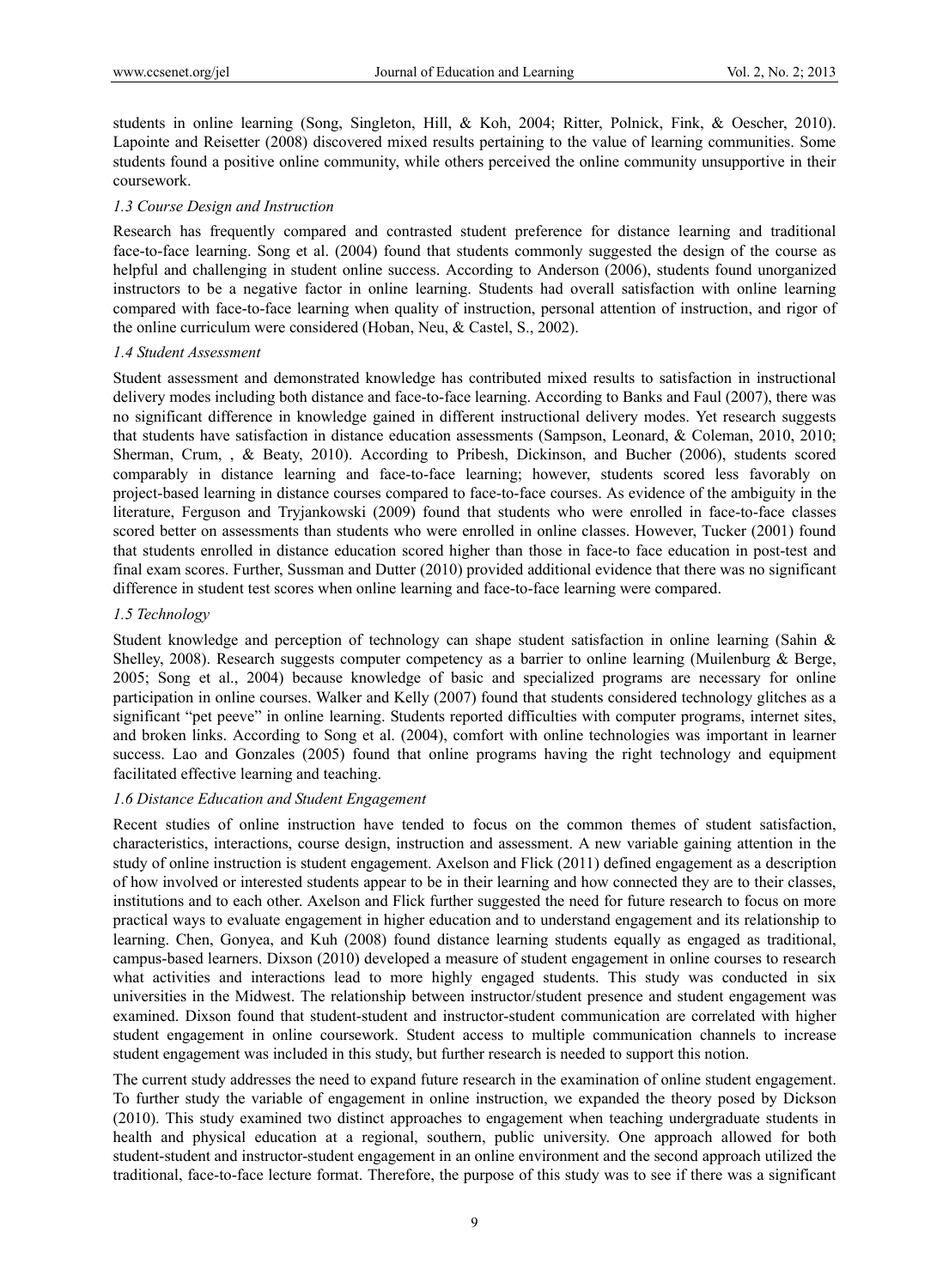students in online learning (Song, Singleton, Hill, & Koh, 2004; Ritter, Polnick, Fink, & Oescher, 2010). Lapointe and Reisetter (2008) discovered mixed results pertaining to the value of learning communities. Some students found a positive online community, while others perceived the online community unsupportive in their coursework.

#### *1.3 Course Design and Instruction*

Research has frequently compared and contrasted student preference for distance learning and traditional face-to-face learning. Song et al. (2004) found that students commonly suggested the design of the course as helpful and challenging in student online success. According to Anderson (2006), students found unorganized instructors to be a negative factor in online learning. Students had overall satisfaction with online learning compared with face-to-face learning when quality of instruction, personal attention of instruction, and rigor of the online curriculum were considered (Hoban, Neu, & Castel, S., 2002).

#### *1.4 Student Assessment*

Student assessment and demonstrated knowledge has contributed mixed results to satisfaction in instructional delivery modes including both distance and face-to-face learning. According to Banks and Faul (2007), there was no significant difference in knowledge gained in different instructional delivery modes. Yet research suggests that students have satisfaction in distance education assessments (Sampson, Leonard, & Coleman, 2010, 2010; Sherman, Crum, , & Beaty, 2010). According to Pribesh, Dickinson, and Bucher (2006), students scored comparably in distance learning and face-to-face learning; however, students scored less favorably on project-based learning in distance courses compared to face-to-face courses. As evidence of the ambiguity in the literature, Ferguson and Tryjankowski (2009) found that students who were enrolled in face-to-face classes scored better on assessments than students who were enrolled in online classes. However, Tucker (2001) found that students enrolled in distance education scored higher than those in face-to face education in post-test and final exam scores. Further, Sussman and Dutter (2010) provided additional evidence that there was no significant difference in student test scores when online learning and face-to-face learning were compared.

#### *1.5 Technology*

Student knowledge and perception of technology can shape student satisfaction in online learning (Sahin & Shelley, 2008). Research suggests computer competency as a barrier to online learning (Muilenburg & Berge, 2005; Song et al., 2004) because knowledge of basic and specialized programs are necessary for online participation in online courses. Walker and Kelly (2007) found that students considered technology glitches as a significant "pet peeve" in online learning. Students reported difficulties with computer programs, internet sites, and broken links. According to Song et al. (2004), comfort with online technologies was important in learner success. Lao and Gonzales (2005) found that online programs having the right technology and equipment facilitated effective learning and teaching.

## *1.6 Distance Education and Student Engagement*

Recent studies of online instruction have tended to focus on the common themes of student satisfaction, characteristics, interactions, course design, instruction and assessment. A new variable gaining attention in the study of online instruction is student engagement. Axelson and Flick (2011) defined engagement as a description of how involved or interested students appear to be in their learning and how connected they are to their classes, institutions and to each other. Axelson and Flick further suggested the need for future research to focus on more practical ways to evaluate engagement in higher education and to understand engagement and its relationship to learning. Chen, Gonyea, and Kuh (2008) found distance learning students equally as engaged as traditional, campus-based learners. Dixson (2010) developed a measure of student engagement in online courses to research what activities and interactions lead to more highly engaged students. This study was conducted in six universities in the Midwest. The relationship between instructor/student presence and student engagement was examined. Dixson found that student-student and instructor-student communication are correlated with higher student engagement in online coursework. Student access to multiple communication channels to increase student engagement was included in this study, but further research is needed to support this notion.

The current study addresses the need to expand future research in the examination of online student engagement. To further study the variable of engagement in online instruction, we expanded the theory posed by Dickson (2010). This study examined two distinct approaches to engagement when teaching undergraduate students in health and physical education at a regional, southern, public university. One approach allowed for both student-student and instructor-student engagement in an online environment and the second approach utilized the traditional, face-to-face lecture format. Therefore, the purpose of this study was to see if there was a significant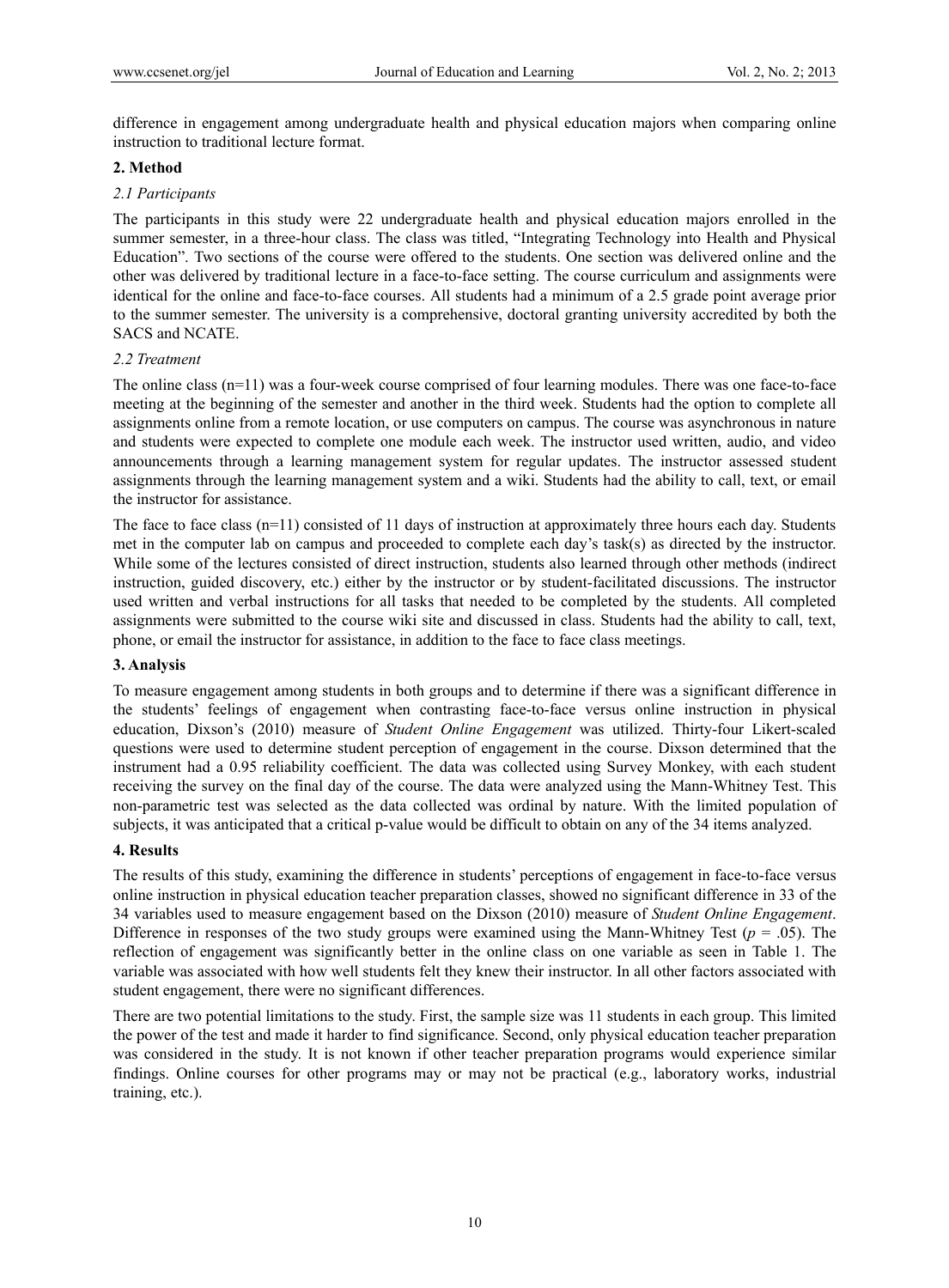difference in engagement among undergraduate health and physical education majors when comparing online instruction to traditional lecture format.

### **2. Method**

## *2.1 Participants*

The participants in this study were 22 undergraduate health and physical education majors enrolled in the summer semester, in a three-hour class. The class was titled, "Integrating Technology into Health and Physical Education". Two sections of the course were offered to the students. One section was delivered online and the other was delivered by traditional lecture in a face-to-face setting. The course curriculum and assignments were identical for the online and face-to-face courses. All students had a minimum of a 2.5 grade point average prior to the summer semester. The university is a comprehensive, doctoral granting university accredited by both the SACS and NCATE.

## *2.2 Treatment*

The online class (n=11) was a four-week course comprised of four learning modules. There was one face-to-face meeting at the beginning of the semester and another in the third week. Students had the option to complete all assignments online from a remote location, or use computers on campus. The course was asynchronous in nature and students were expected to complete one module each week. The instructor used written, audio, and video announcements through a learning management system for regular updates. The instructor assessed student assignments through the learning management system and a wiki. Students had the ability to call, text, or email the instructor for assistance.

The face to face class  $(n=11)$  consisted of 11 days of instruction at approximately three hours each day. Students met in the computer lab on campus and proceeded to complete each day's task(s) as directed by the instructor. While some of the lectures consisted of direct instruction, students also learned through other methods (indirect instruction, guided discovery, etc.) either by the instructor or by student-facilitated discussions. The instructor used written and verbal instructions for all tasks that needed to be completed by the students. All completed assignments were submitted to the course wiki site and discussed in class. Students had the ability to call, text, phone, or email the instructor for assistance, in addition to the face to face class meetings.

# **3. Analysis**

To measure engagement among students in both groups and to determine if there was a significant difference in the students' feelings of engagement when contrasting face-to-face versus online instruction in physical education, Dixson's (2010) measure of *Student Online Engagement* was utilized. Thirty-four Likert-scaled questions were used to determine student perception of engagement in the course. Dixson determined that the instrument had a 0.95 reliability coefficient. The data was collected using Survey Monkey, with each student receiving the survey on the final day of the course. The data were analyzed using the Mann-Whitney Test. This non-parametric test was selected as the data collected was ordinal by nature. With the limited population of subjects, it was anticipated that a critical p-value would be difficult to obtain on any of the 34 items analyzed.

### **4. Results**

The results of this study, examining the difference in students' perceptions of engagement in face-to-face versus online instruction in physical education teacher preparation classes, showed no significant difference in 33 of the 34 variables used to measure engagement based on the Dixson (2010) measure of *Student Online Engagement*. Difference in responses of the two study groups were examined using the Mann-Whitney Test ( $p = .05$ ). The reflection of engagement was significantly better in the online class on one variable as seen in Table 1. The variable was associated with how well students felt they knew their instructor. In all other factors associated with student engagement, there were no significant differences.

There are two potential limitations to the study. First, the sample size was 11 students in each group. This limited the power of the test and made it harder to find significance. Second, only physical education teacher preparation was considered in the study. It is not known if other teacher preparation programs would experience similar findings. Online courses for other programs may or may not be practical (e.g., laboratory works, industrial training, etc.).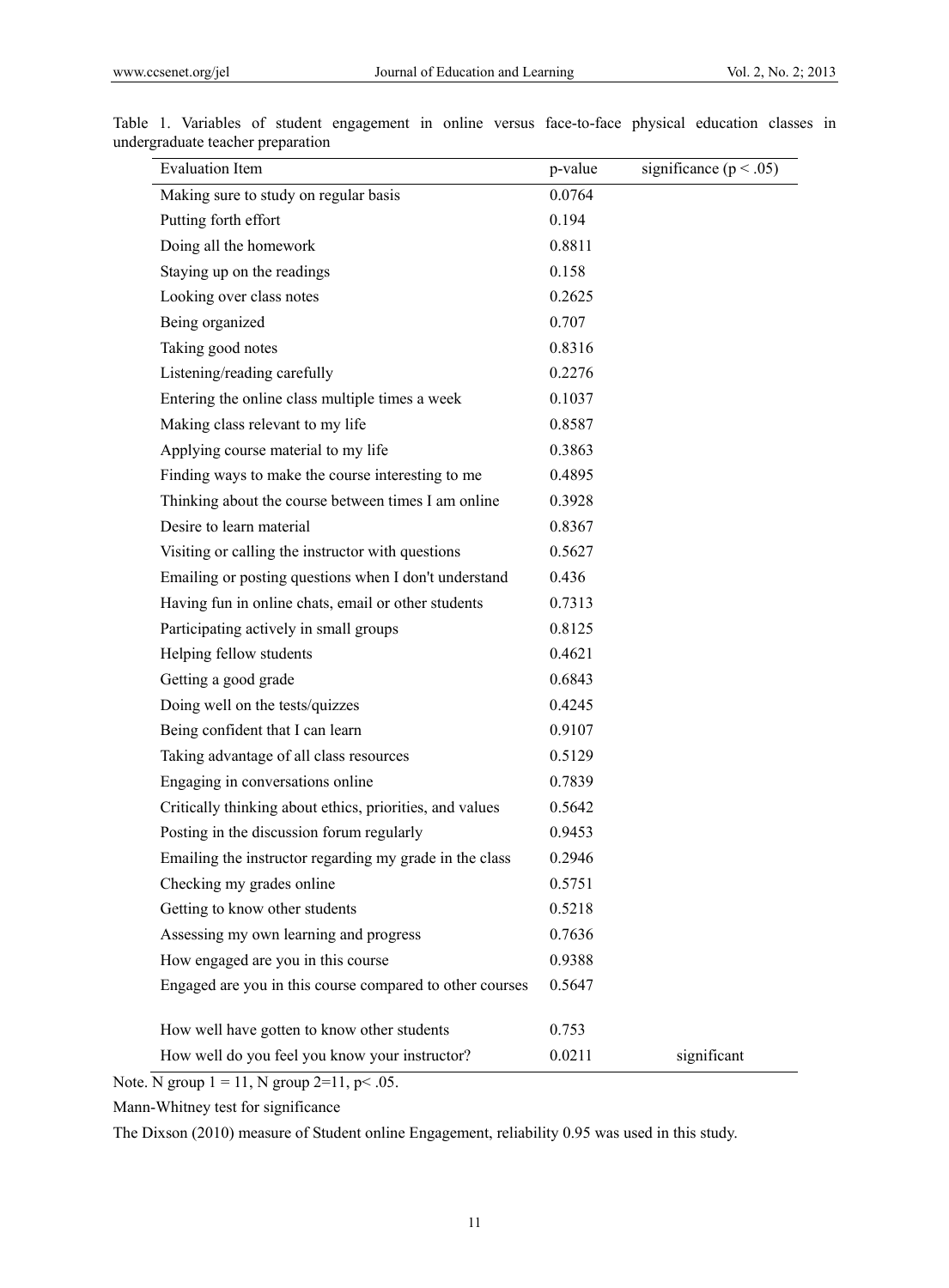| <b>Evaluation Item</b>                                   | p-value | significance ( $p < .05$ ) |
|----------------------------------------------------------|---------|----------------------------|
| Making sure to study on regular basis                    | 0.0764  |                            |
| Putting forth effort                                     | 0.194   |                            |
| Doing all the homework                                   | 0.8811  |                            |
| Staying up on the readings                               | 0.158   |                            |
| Looking over class notes                                 | 0.2625  |                            |
| Being organized                                          | 0.707   |                            |
| Taking good notes                                        | 0.8316  |                            |
| Listening/reading carefully                              | 0.2276  |                            |
| Entering the online class multiple times a week          | 0.1037  |                            |
| Making class relevant to my life                         | 0.8587  |                            |
| Applying course material to my life                      | 0.3863  |                            |
| Finding ways to make the course interesting to me        | 0.4895  |                            |
| Thinking about the course between times I am online      | 0.3928  |                            |
| Desire to learn material                                 | 0.8367  |                            |
| Visiting or calling the instructor with questions        | 0.5627  |                            |
| Emailing or posting questions when I don't understand    | 0.436   |                            |
| Having fun in online chats, email or other students      | 0.7313  |                            |
| Participating actively in small groups                   | 0.8125  |                            |
| Helping fellow students                                  | 0.4621  |                            |
| Getting a good grade                                     | 0.6843  |                            |
| Doing well on the tests/quizzes                          | 0.4245  |                            |
| Being confident that I can learn                         | 0.9107  |                            |
| Taking advantage of all class resources                  | 0.5129  |                            |
| Engaging in conversations online                         | 0.7839  |                            |
| Critically thinking about ethics, priorities, and values | 0.5642  |                            |
| Posting in the discussion forum regularly                | 0.9453  |                            |
| Emailing the instructor regarding my grade in the class  | 0.2946  |                            |
| Checking my grades online                                | 0.5751  |                            |
| Getting to know other students                           | 0.5218  |                            |
| Assessing my own learning and progress                   | 0.7636  |                            |
| How engaged are you in this course                       | 0.9388  |                            |
| Engaged are you in this course compared to other courses | 0.5647  |                            |
| How well have gotten to know other students              | 0.753   |                            |
| How well do you feel you know your instructor?           | 0.0211  | significant                |

Table 1. Variables of student engagement in online versus face-to-face physical education classes in undergraduate teacher preparation

Note. N group  $1 = 11$ , N group  $2=11$ , p< .05.

Mann-Whitney test for significance

The Dixson (2010) measure of Student online Engagement, reliability 0.95 was used in this study.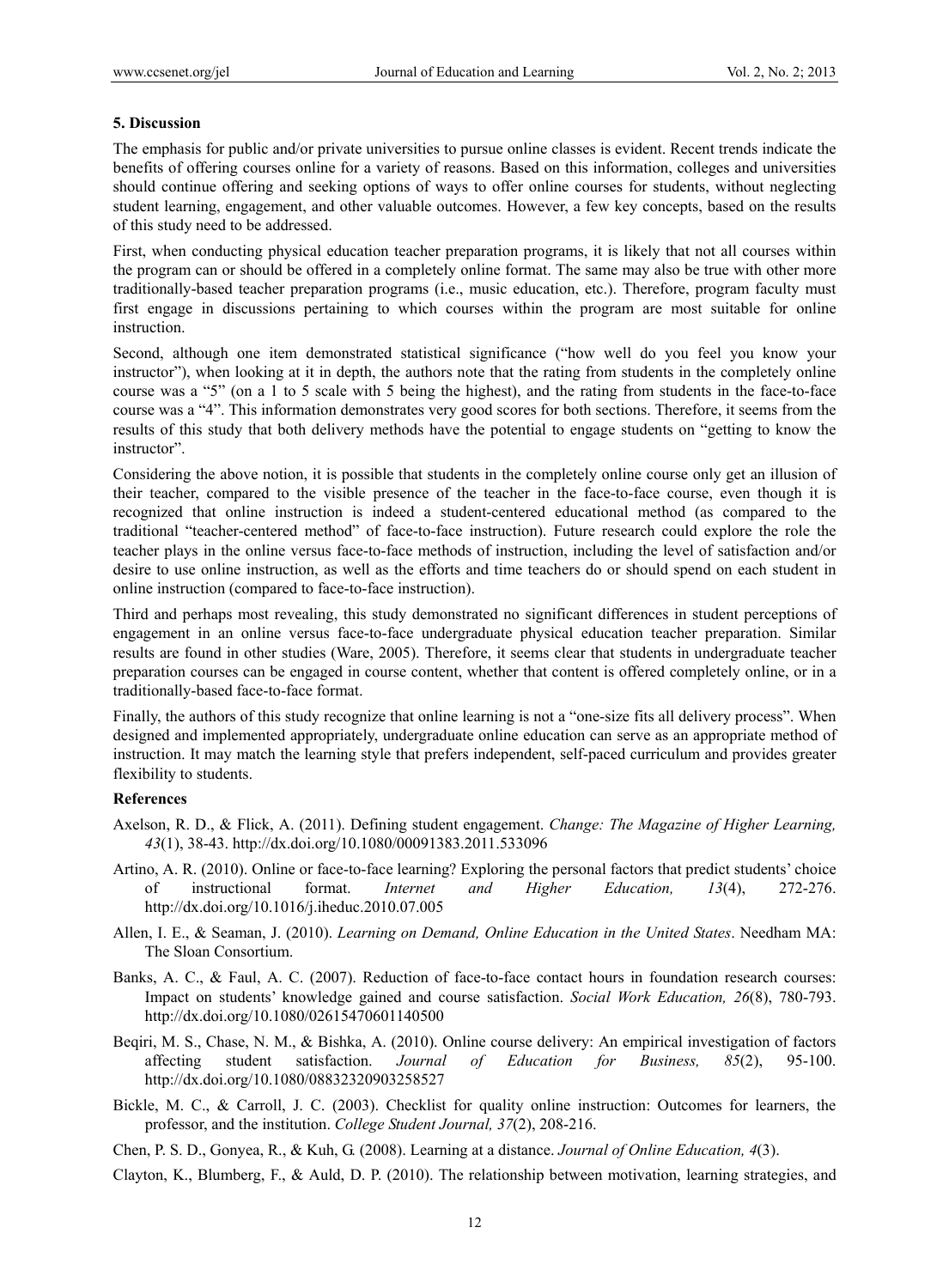## **5. Discussion**

The emphasis for public and/or private universities to pursue online classes is evident. Recent trends indicate the benefits of offering courses online for a variety of reasons. Based on this information, colleges and universities should continue offering and seeking options of ways to offer online courses for students, without neglecting student learning, engagement, and other valuable outcomes. However, a few key concepts, based on the results of this study need to be addressed.

First, when conducting physical education teacher preparation programs, it is likely that not all courses within the program can or should be offered in a completely online format. The same may also be true with other more traditionally-based teacher preparation programs (i.e., music education, etc.). Therefore, program faculty must first engage in discussions pertaining to which courses within the program are most suitable for online instruction.

Second, although one item demonstrated statistical significance ("how well do you feel you know your instructor"), when looking at it in depth, the authors note that the rating from students in the completely online course was a "5" (on a 1 to 5 scale with 5 being the highest), and the rating from students in the face-to-face course was a "4". This information demonstrates very good scores for both sections. Therefore, it seems from the results of this study that both delivery methods have the potential to engage students on "getting to know the instructor".

Considering the above notion, it is possible that students in the completely online course only get an illusion of their teacher, compared to the visible presence of the teacher in the face-to-face course, even though it is recognized that online instruction is indeed a student-centered educational method (as compared to the traditional "teacher-centered method" of face-to-face instruction). Future research could explore the role the teacher plays in the online versus face-to-face methods of instruction, including the level of satisfaction and/or desire to use online instruction, as well as the efforts and time teachers do or should spend on each student in online instruction (compared to face-to-face instruction).

Third and perhaps most revealing, this study demonstrated no significant differences in student perceptions of engagement in an online versus face-to-face undergraduate physical education teacher preparation. Similar results are found in other studies (Ware, 2005). Therefore, it seems clear that students in undergraduate teacher preparation courses can be engaged in course content, whether that content is offered completely online, or in a traditionally-based face-to-face format.

Finally, the authors of this study recognize that online learning is not a "one-size fits all delivery process". When designed and implemented appropriately, undergraduate online education can serve as an appropriate method of instruction. It may match the learning style that prefers independent, self-paced curriculum and provides greater flexibility to students.

# **References**

- Axelson, R. D., & Flick, A. (2011). Defining student engagement. *Change: The Magazine of Higher Learning, 43*(1), 38-43. http://dx.doi.org/10.1080/00091383.2011.533096
- Artino, A. R. (2010). Online or face-to-face learning? Exploring the personal factors that predict students' choice of instructional format. *Internet and Higher Education, 13*(4), 272-276. http://dx.doi.org/10.1016/j.iheduc.2010.07.005
- Allen, I. E., & Seaman, J. (2010). *Learning on Demand, Online Education in the United States*. Needham MA: The Sloan Consortium.
- Banks, A. C., & Faul, A. C. (2007). Reduction of face-to-face contact hours in foundation research courses: Impact on students' knowledge gained and course satisfaction. *Social Work Education, 26*(8), 780-793. http://dx.doi.org/10.1080/02615470601140500
- Beqiri, M. S., Chase, N. M., & Bishka, A. (2010). Online course delivery: An empirical investigation of factors affecting student satisfaction. *Journal of Education for Business, 85*(2), 95-100. http://dx.doi.org/10.1080/08832320903258527
- Bickle, M. C., & Carroll, J. C. (2003). Checklist for quality online instruction: Outcomes for learners, the professor, and the institution. *College Student Journal, 37*(2), 208-216.

Chen, P. S. D., Gonyea, R., & Kuh, G. (2008). Learning at a distance. *Journal of Online Education, 4*(3).

Clayton, K., Blumberg, F., & Auld, D. P. (2010). The relationship between motivation, learning strategies, and